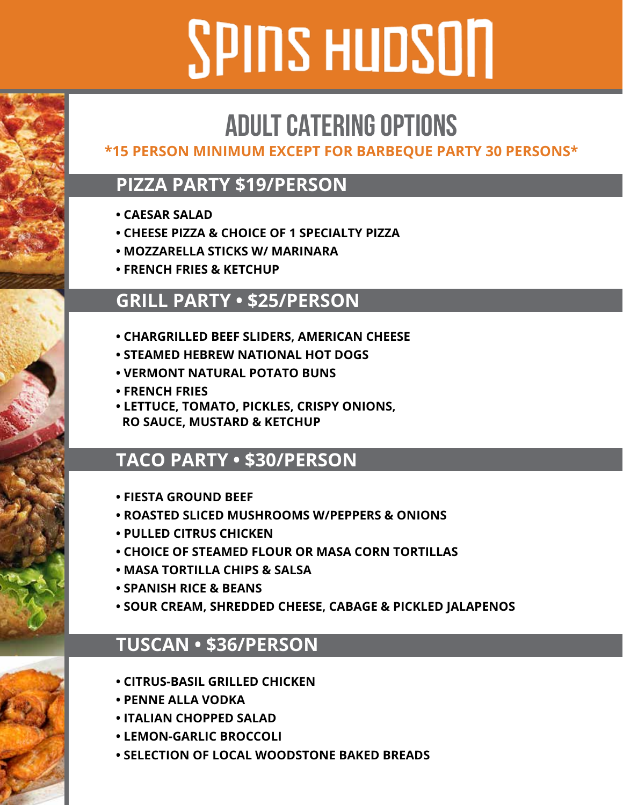# **SPINS HUDSON**

## **ADULT CATERING OPTIONS**

#### **\*15 PERSON MINIMUM EXCEPT FOR BARBEQUE PARTY 30 PERSONS\***

## **PIZZA PARTY \$19/PERSON**

- **CAESAR SALAD**
- **CHEESE PIZZA & CHOICE OF 1 SPECIALTY PIZZA**
- **MOZZARELLA STICKS W/ MARINARA**
- **FRENCH FRIES & KETCHUP**

## **GRILL PARTY • \$25/PERSON**

- **CHARGRILLED BEEF SLIDERS, AMERICAN CHEESE**
- **STEAMED HEBREW NATIONAL HOT DOGS**
- **VERMONT NATURAL POTATO BUNS**
- **FRENCH FRIES**
- **LETTUCE, TOMATO, PICKLES, CRISPY ONIONS, RO SAUCE, MUSTARD & KETCHUP**

## **TACO PARTY • \$30/PERSON**

- **FIESTA GROUND BEEF**
- **ROASTED SLICED MUSHROOMS W/PEPPERS & ONIONS**
- **PULLED CITRUS CHICKEN**
- **CHOICE OF STEAMED FLOUR OR MASA CORN TORTILLAS**
- **MASA TORTILLA CHIPS & SALSA**
- **SPANISH RICE & BEANS**
- **SOUR CREAM, SHREDDED CHEESE, CABAGE & PICKLED JALAPENOS**

## **TUSCAN • \$36/PERSON**

- **CITRUS-BASIL GRILLED CHICKEN**
- **PENNE ALLA VODKA**
- **ITALIAN CHOPPED SALAD**
- **LEMON-GARLIC BROCCOLI**
- **SELECTION OF LOCAL WOODSTONE BAKED BREADS**